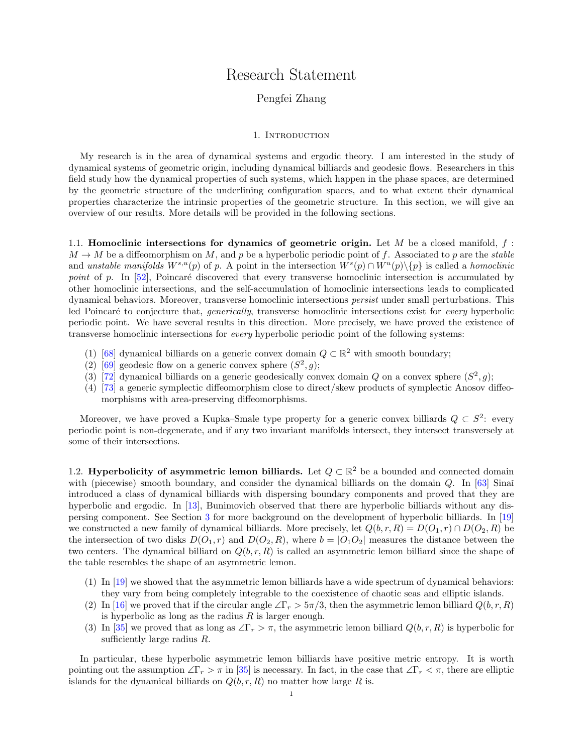# Research Statement

### Pengfei Zhang

### 1. INTRODUCTION

My research is in the area of dynamical systems and ergodic theory. I am interested in the study of dynamical systems of geometric origin, including dynamical billiards and geodesic flows. Researchers in this field study how the dynamical properties of such systems, which happen in the phase spaces, are determined by the geometric structure of the underlining configuration spaces, and to what extent their dynamical properties characterize the intrinsic properties of the geometric structure. In this section, we will give an overview of our results. More details will be provided in the following sections.

1.1. Homoclinic intersections for dynamics of geometric origin. Let M be a closed manifold,  $f$ :  $M \to M$  be a diffeomorphism on M, and p be a hyperbolic periodic point of f. Associated to p are the stable and unstable manifolds  $W^{s,u}(p)$  of p. A point in the intersection  $W^s(p) \cap W^u(p) \setminus \{p\}$  is called a homoclinic point of p. In  $[52]$ , Poincaré discovered that every transverse homoclinic intersection is accumulated by other homoclinic intersections, and the self-accumulation of homoclinic intersections leads to complicated dynamical behaviors. Moreover, transverse homoclinic intersections persist under small perturbations. This led Poincaré to conjecture that, *generically*, transverse homoclinic intersections exist for *every* hyperbolic periodic point. We have several results in this direction. More precisely, we have proved the existence of transverse homoclinic intersections for every hyperbolic periodic point of the following systems:

- (1) [\[68\]](#page-10-1) dynamical billiards on a generic convex domain  $Q \subset \mathbb{R}^2$  with smooth boundary;
- (2) [\[69\]](#page-10-2) geodesic flow on a generic convex sphere  $(S^2, g)$ ;
- (3) [\[72\]](#page-10-3) dynamical billiards on a generic geodesically convex domain Q on a convex sphere  $(S^2, g)$ ;
- (4) [\[73\]](#page-10-4) a generic symplectic diffeomorphism close to direct/skew products of symplectic Anosov diffeomorphisms with area-preserving diffeomorphisms.

Moreover, we have proved a Kupka–Smale type property for a generic convex billiards  $Q \subset S^2$ : every periodic point is non-degenerate, and if any two invariant manifolds intersect, they intersect transversely at some of their intersections.

<span id="page-0-0"></span>1.2. Hyperbolicity of asymmetric lemon billiards. Let  $Q \subset \mathbb{R}^2$  be a bounded and connected domain with (piecewise) smooth boundary, and consider the dynamical billiards on the domain Q. In [\[63\]](#page-10-5) Sinaǐ introduced a class of dynamical billiards with dispersing boundary components and proved that they are hyperbolic and ergodic. In [\[13\]](#page-9-0), Bunimovich observed that there are hyperbolic billiards without any dispersing component. See Section [3](#page-4-0) for more background on the development of hyperbolic billiards. In [\[19\]](#page-9-1) we constructed a new family of dynamical billiards. More precisely, let  $Q(b, r, R) = D(O_1, r) \cap D(O_2, R)$  be the intersection of two disks  $D(O_1, r)$  and  $D(O_2, R)$ , where  $b = |O_1O_2|$  measures the distance between the two centers. The dynamical billiard on  $Q(b, r, R)$  is called an asymmetric lemon billiard since the shape of the table resembles the shape of an asymmetric lemon.

- (1) In [\[19\]](#page-9-1) we showed that the asymmetric lemon billiards have a wide spectrum of dynamical behaviors: they vary from being completely integrable to the coexistence of chaotic seas and elliptic islands.
- (2) In [\[16\]](#page-9-2) we proved that if the circular angle  $\angle \Gamma_r > 5\pi/3$ , then the asymmetric lemon billiard  $Q(b, r, R)$ is hyperbolic as long as the radius  $R$  is larger enough.
- (3) In [\[35\]](#page-9-3) we proved that as long as  $\angle \Gamma_r > \pi$ , the asymmetric lemon billiard  $Q(b, r, R)$  is hyperbolic for sufficiently large radius R.

In particular, these hyperbolic asymmetric lemon billiards have positive metric entropy. It is worth pointing out the assumption  $\angle \Gamma_r > \pi$  in [\[35\]](#page-9-3) is necessary. In fact, in the case that  $\angle \Gamma_r < \pi$ , there are elliptic islands for the dynamical billiards on  $Q(b, r, R)$  no matter how large R is.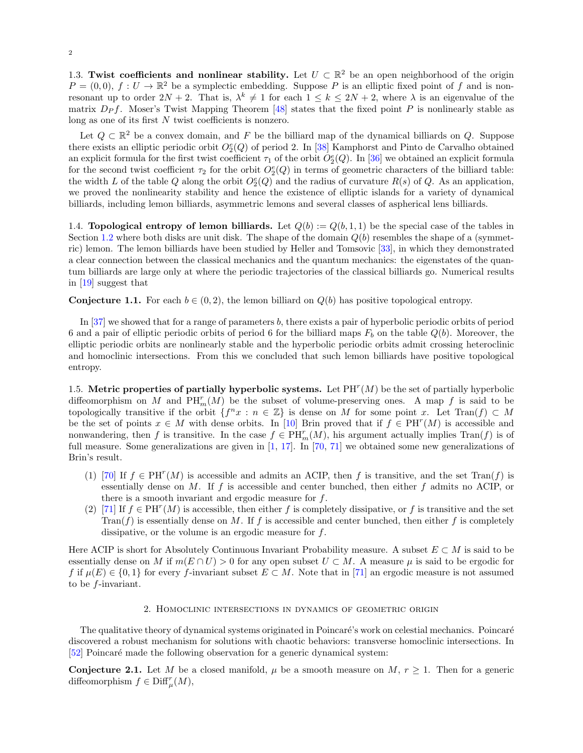1.3. Twist coefficients and nonlinear stability. Let  $U \subset \mathbb{R}^2$  be an open neighborhood of the origin  $P = (0,0), f : U \to \mathbb{R}^2$  be a symplectic embedding. Suppose P is an elliptic fixed point of f and is nonresonant up to order  $2N + 2$ . That is,  $\lambda^k \neq 1$  for each  $1 \leq k \leq 2N + 2$ , where  $\lambda$  is an eigenvalue of the matrix  $D_{P}f$ . Moser's Twist Mapping Theorem [\[48\]](#page-10-6) states that the fixed point P is nonlinearly stable as long as one of its first  $N$  twist coefficients is nonzero.

Let  $Q \subset \mathbb{R}^2$  be a convex domain, and F be the billiard map of the dynamical billiards on Q. Suppose there exists an elliptic periodic orbit  $O_2^e(Q)$  of period 2. In [\[38\]](#page-10-7) Kamphorst and Pinto de Carvalho obtained an explicit formula for the first twist coefficient  $\tau_1$  of the orbit  $O_2^e(Q)$ . In [\[36\]](#page-10-8) we obtained an explicit formula for the second twist coefficient  $\tau_2$  for the orbit  $O_2^e(Q)$  in terms of geometric characters of the billiard table: the width L of the table Q along the orbit  $O_2^e(Q)$  and the radius of curvature  $R(s)$  of Q. As an application, we proved the nonlinearity stability and hence the existence of elliptic islands for a variety of dynamical billiards, including lemon billiards, asymmetric lemons and several classes of aspherical lens billiards.

1.4. Topological entropy of lemon billiards. Let  $Q(b) := Q(b, 1, 1)$  be the special case of the tables in Section [1.2](#page-0-0) where both disks are unit disk. The shape of the domain  $Q(b)$  resembles the shape of a (symmetric) lemon. The lemon billiards have been studied by Heller and Tomsovic [\[33\]](#page-9-4), in which they demonstrated a clear connection between the classical mechanics and the quantum mechanics: the eigenstates of the quantum billiards are large only at where the periodic trajectories of the classical billiards go. Numerical results in [\[19\]](#page-9-1) suggest that

<span id="page-1-1"></span>**Conjecture 1.1.** For each  $b \in (0, 2)$ , the lemon billiard on  $Q(b)$  has positive topological entropy.

In [\[37\]](#page-10-9) we showed that for a range of parameters b, there exists a pair of hyperbolic periodic orbits of period 6 and a pair of elliptic periodic orbits of period 6 for the billiard maps  $F_b$  on the table  $Q(b)$ . Moreover, the elliptic periodic orbits are nonlinearly stable and the hyperbolic periodic orbits admit crossing heteroclinic and homoclinic intersections. From this we concluded that such lemon billiards have positive topological entropy.

1.5. Metric properties of partially hyperbolic systems. Let  $PH<sup>r</sup>(M)$  be the set of partially hyperbolic diffeomorphism on M and  $PH_m(r)$  be the subset of volume-preserving ones. A map f is said to be topologically transitive if the orbit  $\{f^n x : n \in \mathbb{Z}\}$  is dense on M for some point x. Let Tran $(f) \subset M$ be the set of points  $x \in M$  with dense orbits. In [\[10\]](#page-9-5) Brin proved that if  $f \in PH^{r}(M)$  is accessible and nonwandering, then f is transitive. In the case  $f \in \text{PH}_m^r(M)$ , his argument actually implies  $\text{Tran}(f)$  is of full measure. Some generalizations are given in [\[1,](#page-9-6) [17\]](#page-9-7). In [\[70,](#page-10-10) [71\]](#page-10-11) we obtained some new generalizations of Brin's result.

- (1) [\[70\]](#page-10-10) If  $f \in PH^{r}(M)$  is accessible and admits an ACIP, then f is transitive, and the set Tran(f) is essentially dense on  $M$ . If  $f$  is accessible and center bunched, then either  $f$  admits no ACIP, or there is a smooth invariant and ergodic measure for f.
- (2) [\[71\]](#page-10-11) If  $f \in PH^{r}(M)$  is accessible, then either f is completely dissipative, or f is transitive and the set  $\text{Tran}(f)$  is essentially dense on M. If f is accessible and center bunched, then either f is completely dissipative, or the volume is an ergodic measure for f.

Here ACIP is short for Absolutely Continuous Invariant Probability measure. A subset  $E \subset M$  is said to be essentially dense on M if  $m(E \cap U) > 0$  for any open subset  $U \subset M$ . A measure  $\mu$  is said to be ergodic for f if  $\mu(E) \in \{0,1\}$  for every f-invariant subset  $E \subset M$ . Note that in [\[71\]](#page-10-11) an ergodic measure is not assumed to be f-invariant.

### 2. Homoclinic intersections in dynamics of geometric origin

The qualitative theory of dynamical systems originated in Poincaré's work on celestial mechanics. Poincaré discovered a robust mechanism for solutions with chaotic behaviors: transverse homoclinic intersections. In [\[52\]](#page-10-0) Poincaré made the following observation for a generic dynamical system:

<span id="page-1-0"></span>**Conjecture 2.1.** Let M be a closed manifold,  $\mu$  be a smooth measure on M,  $r \geq 1$ . Then for a generic diffeomorphism  $f \in \text{Diff}^r_\mu(M)$ ,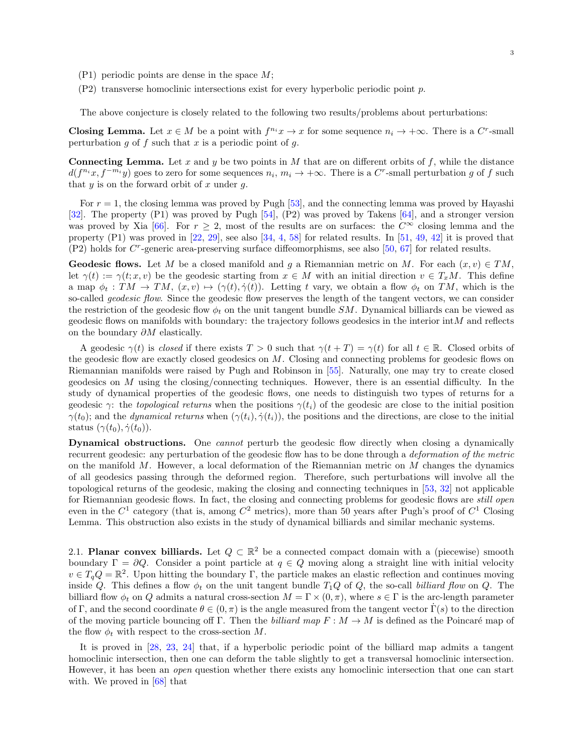- $(P1)$  periodic points are dense in the space M;
- (P2) transverse homoclinic intersections exist for every hyperbolic periodic point p.

The above conjecture is closely related to the following two results/problems about perturbations:

**Closing Lemma.** Let  $x \in M$  be a point with  $f^{n_i}x \to x$  for some sequence  $n_i \to +\infty$ . There is a C<sup>r</sup>-small perturbation g of f such that x is a periodic point of g.

**Connecting Lemma.** Let x and y be two points in M that are on different orbits of f, while the distance  $d(f^{n_i}x, f^{-m_i}y)$  goes to zero for some sequences  $n_i, m_i \to +\infty$ . There is a C<sup>r</sup>-small perturbation g of f such that  $y$  is on the forward orbit of  $x$  under  $q$ .

For  $r = 1$ , the closing lemma was proved by Pugh [\[53\]](#page-10-12), and the connecting lemma was proved by Hayashi [\[32\]](#page-9-8). The property (P1) was proved by Pugh [\[54\]](#page-10-13), (P2) was proved by Takens [\[64\]](#page-10-14), and a stronger version was proved by Xia [\[66\]](#page-10-15). For  $r > 2$ , most of the results are on surfaces: the  $C^{\infty}$  closing lemma and the property  $(P1)$  was proved in [\[22,](#page-9-9) [29\]](#page-9-10), see also [\[34,](#page-9-11) [4,](#page-9-12) [58\]](#page-10-16) for related results. In [\[51,](#page-10-17) [49,](#page-10-18) [42\]](#page-10-19) it is proved that  $(P2)$  holds for  $C<sup>r</sup>$ -generic area-preserving surface diffeomorphisms, see also [\[50,](#page-10-20) [67\]](#page-10-21) for related results.

**Geodesic flows.** Let M be a closed manifold and g a Riemannian metric on M. For each  $(x, v) \in TM$ , let  $\gamma(t) := \gamma(t; x, v)$  be the geodesic starting from  $x \in M$  with an initial direction  $v \in T_xM$ . This define a map  $\phi_t : TM \to TM$ ,  $(x, v) \mapsto (\gamma(t), \dot{\gamma}(t))$ . Letting t vary, we obtain a flow  $\phi_t$  on TM, which is the so-called *geodesic flow*. Since the geodesic flow preserves the length of the tangent vectors, we can consider the restriction of the geodesic flow  $\phi_t$  on the unit tangent bundle SM. Dynamical billiards can be viewed as geodesic flows on manifolds with boundary: the trajectory follows geodesics in the interior int  $M$  and reflects on the boundary  $\partial M$  elastically.

A geodesic  $\gamma(t)$  is closed if there exists  $T > 0$  such that  $\gamma(t+T) = \gamma(t)$  for all  $t \in \mathbb{R}$ . Closed orbits of the geodesic flow are exactly closed geodesics on M. Closing and connecting problems for geodesic flows on Riemannian manifolds were raised by Pugh and Robinson in [\[55\]](#page-10-22). Naturally, one may try to create closed geodesics on  $M$  using the closing/connecting techniques. However, there is an essential difficulty. In the study of dynamical properties of the geodesic flows, one needs to distinguish two types of returns for a geodesic  $\gamma$ : the topological returns when the positions  $\gamma(t_i)$  of the geodesic are close to the initial position  $\gamma(t_0)$ ; and the *dynamical returns* when  $(\gamma(t_i), \dot{\gamma}(t_i))$ , the positions and the directions, are close to the initial status  $(\gamma(t_0), \dot{\gamma}(t_0)).$ 

Dynamical obstructions. One *cannot* perturb the geodesic flow directly when closing a dynamically recurrent geodesic: any perturbation of the geodesic flow has to be done through a deformation of the metric on the manifold  $M$ . However, a local deformation of the Riemannian metric on  $M$  changes the dynamics of all geodesics passing through the deformed region. Therefore, such perturbations will involve all the topological returns of the geodesic, making the closing and connecting techniques in [\[53,](#page-10-12) [32\]](#page-9-8) not applicable for Riemannian geodesic flows. In fact, the closing and connecting problems for geodesic flows are still open even in the  $C^1$  category (that is, among  $C^2$  metrics), more than 50 years after Pugh's proof of  $C^1$  Closing Lemma. This obstruction also exists in the study of dynamical billiards and similar mechanic systems.

2.1. Planar convex billiards. Let  $Q \subset \mathbb{R}^2$  be a connected compact domain with a (piecewise) smooth boundary  $\Gamma = \partial Q$ . Consider a point particle at  $q \in Q$  moving along a straight line with initial velocity  $v \in T_q Q = \mathbb{R}^2$ . Upon hitting the boundary Γ, the particle makes an elastic reflection and continues moving inside Q. This defines a flow  $\phi_t$  on the unit tangent bundle  $T_1Q$  of Q, the so-call billiard flow on Q. The billiard flow  $\phi_t$  on Q admits a natural cross-section  $M = \Gamma \times (0, \pi)$ , where  $s \in \Gamma$  is the arc-length parameter of Γ, and the second coordinate  $\theta \in (0, \pi)$  is the angle measured from the tangent vector Γ(s) to the direction of the moving particle bouncing off Γ. Then the *billiard map*  $F : M \to M$  is defined as the Poincaré map of the flow  $\phi_t$  with respect to the cross-section M.

It is proved in [\[28,](#page-9-13) [23,](#page-9-14) [24\]](#page-9-15) that, if a hyperbolic periodic point of the billiard map admits a tangent homoclinic intersection, then one can deform the table slightly to get a transversal homoclinic intersection. However, it has been an open question whether there exists any homoclinic intersection that one can start with. We proved in [\[68\]](#page-10-1) that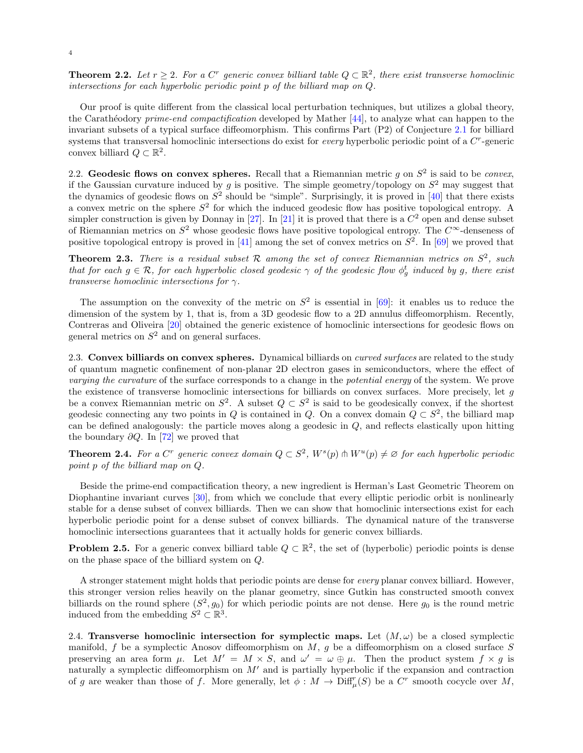**Theorem 2.2.** Let  $r \geq 2$ . For a C<sup>r</sup> generic convex billiard table  $Q \subset \mathbb{R}^2$ , there exist transverse homoclinic intersections for each hyperbolic periodic point p of the billiard map on Q.

Our proof is quite different from the classical local perturbation techniques, but utilizes a global theory, the Carathéodory *prime-end compactification* developed by Mather  $[44]$ , to analyze what can happen to the invariant subsets of a typical surface diffeomorphism. This confirms Part (P2) of Conjecture [2.1](#page-1-0) for billiard systems that transversal homoclinic intersections do exist for *every* hyperbolic periodic point of a  $C<sup>r</sup>$ -generic convex billiard  $Q \subset \mathbb{R}^2$ .

2.2. Geodesic flows on convex spheres. Recall that a Riemannian metric g on  $S^2$  is said to be *convex*, if the Gaussian curvature induced by g is positive. The simple geometry/topology on  $S^2$  may suggest that the dynamics of geodesic flows on  $S^2$  should be "simple". Surprisingly, it is proved in [\[40\]](#page-10-24) that there exists a convex metric on the sphere  $S^2$  for which the induced geodesic flow has positive topological entropy. A simpler construction is given by Donnay in [\[27\]](#page-9-16). In [\[21\]](#page-9-17) it is proved that there is a  $C<sup>2</sup>$  open and dense subset of Riemannian metrics on  $S^2$  whose geodesic flows have positive topological entropy. The  $C^{\infty}$ -denseness of positive topological entropy is proved in [\[41\]](#page-10-25) among the set of convex metrics on  $S^2$ . In [\[69\]](#page-10-2) we proved that

**Theorem 2.3.** There is a residual subset R among the set of convex Riemannian metrics on  $S^2$ , such that for each  $g \in \mathcal{R}$ , for each hyperbolic closed geodesic  $\gamma$  of the geodesic flow  $\phi_g^t$  induced by g, there exist transverse homoclinic intersections for  $\gamma$ .

The assumption on the convexity of the metric on  $S^2$  is essential in [\[69\]](#page-10-2): it enables us to reduce the dimension of the system by 1, that is, from a 3D geodesic flow to a 2D annulus diffeomorphism. Recently, Contreras and Oliveira [\[20\]](#page-9-18) obtained the generic existence of homoclinic intersections for geodesic flows on general metrics on  $S^2$  and on general surfaces.

2.3. Convex billiards on convex spheres. Dynamical billiards on *curved surfaces* are related to the study of quantum magnetic confinement of non-planar 2D electron gases in semiconductors, where the effect of varying the curvature of the surface corresponds to a change in the potential energy of the system. We prove the existence of transverse homoclinic intersections for billiards on convex surfaces. More precisely, let g be a convex Riemannian metric on  $S^2$ . A subset  $Q \subset S^2$  is said to be geodesically convex, if the shortest geodesic connecting any two points in Q is contained in Q. On a convex domain  $Q \subset S^2$ , the billiard map can be defined analogously: the particle moves along a geodesic in  $Q$ , and reflects elastically upon hitting the boundary  $\partial Q$ . In [\[72\]](#page-10-3) we proved that

**Theorem 2.4.** For a C<sup>r</sup> generic convex domain  $Q \subset S^2$ ,  $W^s(p) \pitchfork W^u(p) \neq \emptyset$  for each hyperbolic periodic point p of the billiard map on Q.

Beside the prime-end compactification theory, a new ingredient is Herman's Last Geometric Theorem on Diophantine invariant curves [\[30\]](#page-9-19), from which we conclude that every elliptic periodic orbit is nonlinearly stable for a dense subset of convex billiards. Then we can show that homoclinic intersections exist for each hyperbolic periodic point for a dense subset of convex billiards. The dynamical nature of the transverse homoclinic intersections guarantees that it actually holds for generic convex billiards.

**Problem 2.5.** For a generic convex billiard table  $Q \subset \mathbb{R}^2$ , the set of (hyperbolic) periodic points is dense on the phase space of the billiard system on Q.

A stronger statement might holds that periodic points are dense for every planar convex billiard. However, this stronger version relies heavily on the planar geometry, since Gutkin has constructed smooth convex billiards on the round sphere  $(S^2, g_0)$  for which periodic points are not dense. Here  $g_0$  is the round metric induced from the embedding  $S^2 \subset \mathbb{R}^3$ .

2.4. Transverse homoclinic intersection for symplectic maps. Let  $(M,\omega)$  be a closed symplectic manifold,  $f$  be a symplectic Anosov diffeomorphism on  $M$ ,  $g$  be a diffeomorphism on a closed surface  $S$ preserving an area form  $\mu$ . Let  $M' = M \times S$ , and  $\omega' = \omega \oplus \mu$ . Then the product system  $f \times g$  is naturally a symplectic diffeomorphism on  $M'$  and is partially hyperbolic if the expansion and contraction of g are weaker than those of f. More generally, let  $\phi: M \to \mathrm{Diff}^r_\mu(S)$  be a  $C^r$  smooth cocycle over M,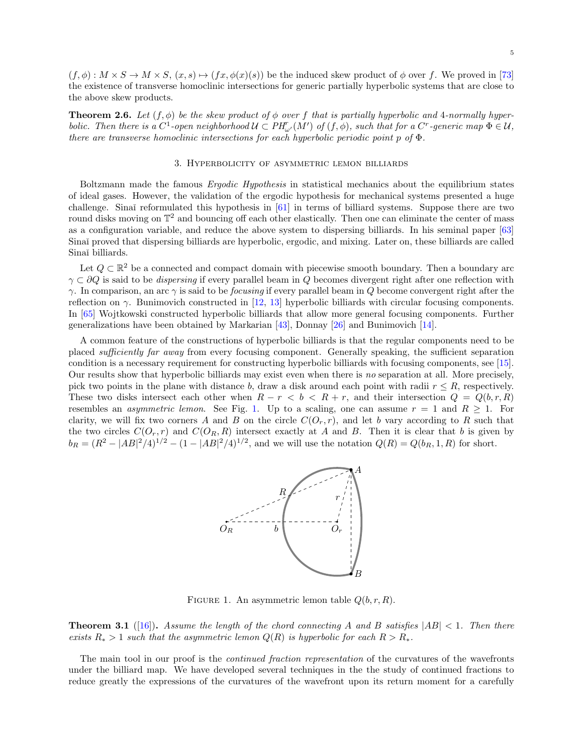$(f, \phi): M \times S \to M \times S$ ,  $(x, s) \mapsto (fx, \phi(x)(s))$  be the induced skew product of  $\phi$  over f. We proved in [\[73\]](#page-10-4) the existence of transverse homoclinic intersections for generic partially hyperbolic systems that are close to the above skew products.

**Theorem 2.6.** Let  $(f, \phi)$  be the skew product of  $\phi$  over f that is partially hyperbolic and 4-normally hyperbolic. Then there is a  $C^1$ -open neighborhood  $\mathcal{U} \subset PH_{\omega'}^r(M')$  of  $(f, \phi)$ , such that for a  $C^r$ -generic map  $\Phi \in \mathcal{U}$ , there are transverse homoclinic intersections for each hyperbolic periodic point  $p$  of  $\Phi$ .

#### 3. Hyperbolicity of asymmetric lemon billiards

<span id="page-4-0"></span>Boltzmann made the famous Ergodic Hypothesis in statistical mechanics about the equilibrium states of ideal gases. However, the validation of the ergodic hypothesis for mechanical systems presented a huge challenge. Sinaĭ reformulated this hypothesis in [\[61\]](#page-10-26) in terms of billiard systems. Suppose there are two round disks moving on  $\mathbb{T}^2$  and bouncing off each other elastically. Then one can eliminate the center of mass as a configuration variable, and reduce the above system to dispersing billiards. In his seminal paper [\[63\]](#page-10-5) Sinaĭ proved that dispersing billiards are hyperbolic, ergodic, and mixing. Later on, these billiards are called Sinaĭ billiards.

Let  $Q \subset \mathbb{R}^2$  be a connected and compact domain with piecewise smooth boundary. Then a boundary arc  $\gamma \subset \partial Q$  is said to be *dispersing* if every parallel beam in Q becomes divergent right after one reflection with γ. In comparison, an arc γ is said to be focusing if every parallel beam in Q become convergent right after the reflection on  $\gamma$ . Bunimovich constructed in [\[12,](#page-9-20) [13\]](#page-9-0) hyperbolic billiards with circular focusing components. In [\[65\]](#page-10-27) Wojtkowski constructed hyperbolic billiards that allow more general focusing components. Further generalizations have been obtained by Markarian [\[43\]](#page-10-28), Donnay [\[26\]](#page-9-21) and Bunimovich [\[14\]](#page-9-22).

A common feature of the constructions of hyperbolic billiards is that the regular components need to be placed sufficiently far away from every focusing component. Generally speaking, the sufficient separation condition is a necessary requirement for constructing hyperbolic billiards with focusing components, see [\[15\]](#page-9-23). Our results show that hyperbolic billiards may exist even when there is no separation at all. More precisely, pick two points in the plane with distance b, draw a disk around each point with radii  $r \leq R$ , respectively. These two disks intersect each other when  $R - r < b < R + r$ , and their intersection  $Q = Q(b, r, R)$ resembles an *asymmetric lemon.* See Fig. [1.](#page-4-1) Up to a scaling, one can assume  $r = 1$  and  $R \ge 1$ . For clarity, we will fix two corners A and B on the circle  $C(O_r, r)$ , and let b vary according to R such that the two circles  $C(O_r, r)$  and  $C(O_R, R)$  intersect exactly at A and B. Then it is clear that b is given by  $b_R = (R^2 - |AB|^2/4)^{1/2} - (1 - |AB|^2/4)^{1/2}$ , and we will use the notation  $Q(R) = Q(b_R, 1, R)$  for short.



<span id="page-4-1"></span>FIGURE 1. An asymmetric lemon table  $Q(b, r, R)$ .

**Theorem 3.1** ([\[16\]](#page-9-2)). Assume the length of the chord connecting A and B satisfies  $|AB| < 1$ . Then there exists  $R_* > 1$  such that the asymmetric lemon  $Q(R)$  is hyperbolic for each  $R > R_*$ .

The main tool in our proof is the *continued fraction representation* of the curvatures of the wavefronts under the billiard map. We have developed several techniques in the the study of continued fractions to reduce greatly the expressions of the curvatures of the wavefront upon its return moment for a carefully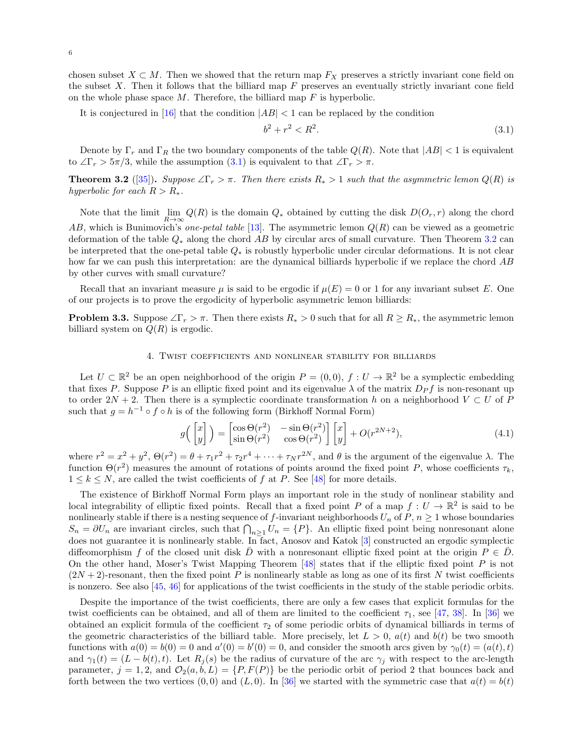chosen subset  $X \subset M$ . Then we showed that the return map  $F_X$  preserves a strictly invariant cone field on the subset  $X$ . Then it follows that the billiard map  $F$  preserves an eventually strictly invariant cone field on the whole phase space  $M$ . Therefore, the billiard map  $F$  is hyperbolic.

It is conjectured in [\[16\]](#page-9-2) that the condition  $|AB| < 1$  can be replaced by the condition

<span id="page-5-0"></span>
$$
b^2 + r^2 < R^2. \tag{3.1}
$$

Denote by  $\Gamma_r$  and  $\Gamma_R$  the two boundary components of the table  $Q(R)$ . Note that  $|AB| < 1$  is equivalent to  $\angle \Gamma_r > 5\pi/3$ , while the assumption [\(3.1\)](#page-5-0) is equivalent to that  $\angle \Gamma_r > \pi$ .

<span id="page-5-1"></span>**Theorem 3.2** ([\[35\]](#page-9-3)). Suppose  $\angle \Gamma_r > \pi$ . Then there exists  $R_* > 1$  such that the asymmetric lemon  $Q(R)$  is hyperbolic for each  $R > R_*$ .

Note that the limit  $\lim_{R\to\infty} Q(R)$  is the domain  $Q_*$  obtained by cutting the disk  $D(O_r, r)$  along the chord AB, which is Bunimovich's one-petal table [\[13\]](#page-9-0). The asymmetric lemon  $Q(R)$  can be viewed as a geometric deformation of the table  $Q_*$  along the chord AB by circular arcs of small curvature. Then Theorem [3.2](#page-5-1) can be interpreted that the one-petal table Q<sup>∗</sup> is robustly hyperbolic under circular deformations. It is not clear how far we can push this interpretation: are the dynamical billiards hyperbolic if we replace the chord AB by other curves with small curvature?

Recall that an invariant measure  $\mu$  is said to be ergodic if  $\mu(E) = 0$  or 1 for any invariant subset E. One of our projects is to prove the ergodicity of hyperbolic asymmetric lemon billiards:

**Problem 3.3.** Suppose  $\angle \Gamma_r > \pi$ . Then there exists  $R_* > 0$  such that for all  $R \geq R_*$ , the asymmetric lemon billiard system on  $Q(R)$  is ergodic.

### 4. Twist coefficients and nonlinear stability for billiards

<span id="page-5-2"></span>Let  $U \subset \mathbb{R}^2$  be an open neighborhood of the origin  $P = (0,0), f : U \to \mathbb{R}^2$  be a symplectic embedding that fixes P. Suppose P is an elliptic fixed point and its eigenvalue  $\lambda$  of the matrix  $D_P f$  is non-resonant up to order  $2N + 2$ . Then there is a symplectic coordinate transformation h on a neighborhood  $V \subset U$  of P such that  $g = h^{-1} \circ f \circ h$  is of the following form (Birkhoff Normal Form)

$$
g\left(\begin{bmatrix} x \\ y \end{bmatrix}\right) = \begin{bmatrix} \cos\Theta(r^2) & -\sin\Theta(r^2) \\ \sin\Theta(r^2) & \cos\Theta(r^2) \end{bmatrix} \begin{bmatrix} x \\ y \end{bmatrix} + O(r^{2N+2}),\tag{4.1}
$$

where  $r^2 = x^2 + y^2$ ,  $\Theta(r^2) = \theta + \tau_1 r^2 + \tau_2 r^4 + \cdots + \tau_N r^{2N}$ , and  $\theta$  is the argument of the eigenvalue  $\lambda$ . The function  $\Theta(r^2)$  measures the amount of rotations of points around the fixed point P, whose coefficients  $\tau_k$ ,  $1 \leq k \leq N$ , are called the twist coefficients of f at P. See [\[48\]](#page-10-6) for more details.

The existence of Birkhoff Normal Form plays an important role in the study of nonlinear stability and local integrability of elliptic fixed points. Recall that a fixed point P of a map  $f: U \to \mathbb{R}^2$  is said to be nonlinearly stable if there is a nesting sequence of f-invariant neighborhoods  $U_n$  of  $P, n \geq 1$  whose boundaries  $S_n = \partial U_n$  are invariant circles, such that  $\bigcap_{n>1} U_n = \{P\}$ . An elliptic fixed point being nonresonant alone does not guarantee it is nonlinearly stable. In fact, Anosov and Katok [\[3\]](#page-9-24) constructed an ergodic symplectic diffeomorphism f of the closed unit disk D with a nonresonant elliptic fixed point at the origin  $P \in D$ . On the other hand, Moser's Twist Mapping Theorem [\[48\]](#page-10-6) states that if the elliptic fixed point P is not  $(2N + 2)$ -resonant, then the fixed point P is nonlinearly stable as long as one of its first N twist coefficients is nonzero. See also [\[45,](#page-10-29) [46\]](#page-10-30) for applications of the twist coefficients in the study of the stable periodic orbits.

Despite the importance of the twist coefficients, there are only a few cases that explicit formulas for the twist coefficients can be obtained, and all of them are limited to the coefficient  $\tau_1$ , see [\[47,](#page-10-31) [38\]](#page-10-7). In [\[36\]](#page-10-8) we obtained an explicit formula of the coefficient  $\tau_2$  of some periodic orbits of dynamical billiards in terms of the geometric characteristics of the billiard table. More precisely, let  $L > 0$ ,  $a(t)$  and  $b(t)$  be two smooth functions with  $a(0) = b(0) = 0$  and  $a'(0) = b'(0) = 0$ , and consider the smooth arcs given by  $\gamma_0(t) = (a(t), t)$ and  $\gamma_1(t) = (L - b(t), t)$ . Let  $R_i(s)$  be the radius of curvature of the arc  $\gamma_i$  with respect to the arc-length parameter,  $j = 1, 2$ , and  $\mathcal{O}_2(a, b, L) = \{P, F(P)\}\$ be the periodic orbit of period 2 that bounces back and forth between the two vertices  $(0,0)$  and  $(L, 0)$ . In [\[36\]](#page-10-8) we started with the symmetric case that  $a(t) = b(t)$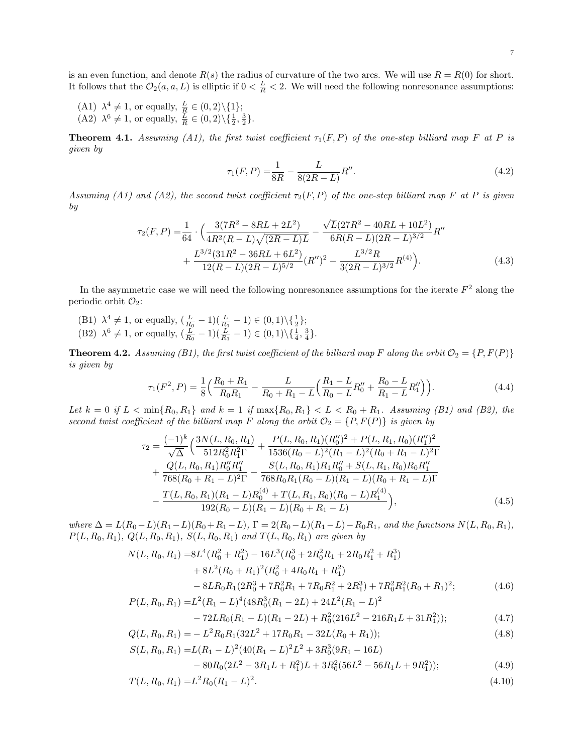is an even function, and denote  $R(s)$  the radius of curvature of the two arcs. We will use  $R = R(0)$  for short. It follows that the  $\mathcal{O}_2(a, a, L)$  is elliptic if  $0 < \frac{L}{R} < 2$ . We will need the following nonresonance assumptions:

- (A1)  $\lambda^4 \neq 1$ , or equally,  $\frac{L}{R} \in (0, 2) \setminus \{1\};$
- (A2)  $\lambda^6 \neq 1$ , or equally,  $\frac{L}{R} \in (0, 2) \setminus \{ \frac{1}{2}, \frac{3}{2} \}.$

<span id="page-6-0"></span>**Theorem 4.1.** Assuming (A1), the first twist coefficient  $\tau_1(F, P)$  of the one-step billiard map F at P is given by

$$
\tau_1(F, P) = \frac{1}{8R} - \frac{L}{8(2R - L)}R''.
$$
\n(4.2)

Assuming (A1) and (A2), the second twist coefficient  $\tau_2(F, P)$  of the one-step billiard map F at P is given by

$$
\tau_2(F, P) = \frac{1}{64} \cdot \left( \frac{3(7R^2 - 8RL + 2L^2)}{4R^2(R - L)\sqrt{(2R - L)L}} - \frac{\sqrt{L}(27R^2 - 40RL + 10L^2)}{6R(R - L)(2R - L)^{3/2}} R'' + \frac{L^{3/2}(31R^2 - 36RL + 6L^2)}{12(R - L)(2R - L)^{5/2}} (R'')^2 - \frac{L^{3/2}R}{3(2R - L)^{3/2}} R^{(4)} \right).
$$
\n(4.3)

In the asymmetric case we will need the following nonresonance assumptions for the iterate  $F^2$  along the periodic orbit  $\mathcal{O}_2$ :

(B1)  $\lambda^4 \neq 1$ , or equally,  $(\frac{L}{R_0} - 1)(\frac{L}{R_1} - 1) \in (0, 1) \setminus {\frac{1}{2}};$ (B2)  $\lambda^6 \neq 1$ , or equally,  $(\frac{L}{R_0} - 1)(\frac{L}{R_1} - 1) \in (0, 1) \setminus {\{\frac{1}{4}, \frac{3}{4}\}}$ .

<span id="page-6-1"></span>**Theorem 4.2.** Assuming (B1), the first twist coefficient of the billiard map F along the orbit  $\mathcal{O}_2 = \{P, F(P)\}\$ is given by

$$
\tau_1(F^2, P) = \frac{1}{8} \left( \frac{R_0 + R_1}{R_0 R_1} - \frac{L}{R_0 + R_1 - L} \left( \frac{R_1 - L}{R_0 - L} R_0'' + \frac{R_0 - L}{R_1 - L} R_1'' \right) \right). \tag{4.4}
$$

Let  $k = 0$  if  $L < \min\{R_0, R_1\}$  and  $k = 1$  if  $\max\{R_0, R_1\} < L < R_0 + R_1$ . Assuming (B1) and (B2), the second twist coefficient of the billiard map F along the orbit  $\mathcal{O}_2 = \{P, F(P)\}\$ is given by

$$
\tau_2 = \frac{(-1)^k}{\sqrt{\Delta}} \left( \frac{3N(L, R_0, R_1)}{512R_0^2 R_1^2 \Gamma} + \frac{P(L, R_0, R_1)(R_0'')^2 + P(L, R_1, R_0)(R_1'')^2}{1536(R_0 - L)^2 (R_1 - L)^2 (R_0 + R_1 - L)^2 \Gamma} + \frac{Q(L, R_0, R_1)R_0'' R_1''}{768(R_0 + R_1 - L)^2 \Gamma} - \frac{S(L, R_0, R_1)R_1 R_0'' + S(L, R_1, R_0)R_0 R_1''}{768R_0 R_1 (R_0 - L)(R_1 - L)(R_0 + R_1 - L) \Gamma} - \frac{T(L, R_0, R_1)(R_1 - L)R_0^{(4)} + T(L, R_1, R_0)(R_0 - L)R_1^{(4)}}{192(R_0 - L)(R_1 - L)(R_0 + R_1 - L)} \right),
$$
\n(4.5)

where  $\Delta = L(R_0 - L)(R_1 - L)(R_0 + R_1 - L)$ ,  $\Gamma = 2(R_0 - L)(R_1 - L) - R_0R_1$ , and the functions  $N(L, R_0, R_1)$ ,  $P(L, R_0, R_1), Q(L, R_0, R_1), S(L, R_0, R_1)$  and  $T(L, R_0, R_1)$  are given by

$$
N(L, R_0, R_1) = 8L^4(R_0^2 + R_1^2) - 16L^3(R_0^3 + 2R_0^2R_1 + 2R_0R_1^2 + R_1^3)
$$
  
+ 
$$
8L^2(R_0 + R_1)^2(R_0^2 + 4R_0R_1 + R_1^2)
$$
  
- 
$$
8LR_0R_1(2R_0^3 + 7R_0^2R_1 + 7R_0R_1^2 + 2R_1^3) + 7R_0^2R_1^2(R_0 + R_1)^2;
$$
  

$$
P(L, R_0, R_1) = L^2(R_1 - L)^4(48R_0^3(R_1 - 2L) + 24L^2(R_1 - L)^2)
$$
 (4.6)

$$
-72LR_0(R_1 - L)(R_1 - 2L) + R_0^2(216L^2 - 216R_1L + 31R_1^2)); \tag{4.7}
$$

$$
Q(L, R_0, R_1) = -L^2 R_0 R_1 (32L^2 + 17R_0 R_1 - 32L(R_0 + R_1));
$$
\n(4.8)

$$
S(L, R_0, R_1) = L(R_1 - L)^2 (40(R_1 - L)^2 L^2 + 3R_0^3 (9R_1 - 16L)
$$
  
- 80R<sub>0</sub>(2L<sup>2</sup> - 3R<sub>1</sub>L + R<sub>1</sub><sup>2</sup>)L + 3R<sub>0</sub><sup>2</sup>(56L<sup>2</sup> - 56R<sub>1</sub>L + 9R<sub>1</sub><sup>2</sup>)); (4.9)

$$
P = P - I^2 P (P - I)^2
$$
 (4.10)

$$
T(L, R_0, R_1) = L^2 R_0 (R_1 - L)^2.
$$
\n(4.10)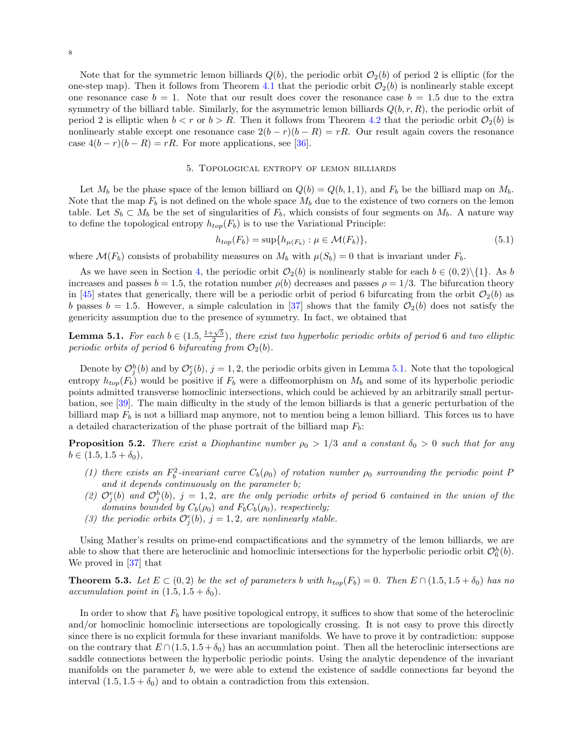Note that for the symmetric lemon billiards  $Q(b)$ , the periodic orbit  $\mathcal{O}_2(b)$  of period 2 is elliptic (for the one-step map). Then it follows from Theorem [4.1](#page-6-0) that the periodic orbit  $\mathcal{O}_2(b)$  is nonlinearly stable except one resonance case  $b = 1$ . Note that our result does cover the resonance case  $b = 1.5$  due to the extra symmetry of the billiard table. Similarly, for the asymmetric lemon billiards  $Q(b, r, R)$ , the periodic orbit of period 2 is elliptic when  $b < r$  or  $b > R$ . Then it follows from Theorem [4.2](#page-6-1) that the periodic orbit  $\mathcal{O}_2(b)$  is nonlinearly stable except one resonance case  $2(b - r)(b - R) = rR$ . Our result again covers the resonance case  $4(b - r)(b - R) = rR$ . For more applications, see [\[36\]](#page-10-8).

### 5. Topological entropy of lemon billiards

Let  $M_b$  be the phase space of the lemon billiard on  $Q(b) = Q(b, 1, 1)$ , and  $F_b$  be the billiard map on  $M_b$ . Note that the map  $F_b$  is not defined on the whole space  $M_b$  due to the existence of two corners on the lemon table. Let  $S_b \subset M_b$  be the set of singularities of  $F_b$ , which consists of four segments on  $M_b$ . A nature way to define the topological entropy  $h_{top}(F_b)$  is to use the Variational Principle:

$$
h_{top}(F_b) = \sup\{h_{\mu(F_b)} : \mu \in \mathcal{M}(F_b)\},\tag{5.1}
$$

where  $\mathcal{M}(F_b)$  consists of probability measures on  $M_b$  with  $\mu(S_b) = 0$  that is invariant under  $F_b$ .

As we have seen in Section [4,](#page-5-2) the periodic orbit  $\mathcal{O}_2(b)$  is nonlinearly stable for each  $b \in (0,2)\setminus\{1\}$ . As b increases and passes  $b = 1.5$ , the rotation number  $\rho(b)$  decreases and passes  $\rho = 1/3$ . The bifurcation theory in [\[45\]](#page-10-29) states that generically, there will be a periodic orbit of period 6 bifurcating from the orbit  $\mathcal{O}_2(b)$  as b passes  $b = 1.5$ . However, a simple calculation in [\[37\]](#page-10-9) shows that the family  $\mathcal{O}_2(b)$  does not satisfy the genericity assumption due to the presence of symmetry. In fact, we obtained that

<span id="page-7-0"></span>**Lemma 5.1.** For each  $b \in (1.5, \frac{1+\sqrt{5}}{2})$ , there exist two hyperbolic periodic orbits of period 6 and two elliptic periodic orbits of period 6 bifurcating from  $\mathcal{O}_2(b)$ .

Denote by  $\mathcal{O}_j^h(b)$  and by  $\mathcal{O}_j^e(b)$ ,  $j=1,2$ , the periodic orbits given in Lemma [5.1.](#page-7-0) Note that the topological entropy  $h_{top}(F_b)$  would be positive if  $F_b$  were a diffeomorphism on  $M_b$  and some of its hyperbolic periodic points admitted transverse homoclinic intersections, which could be achieved by an arbitrarily small perturbation, see [\[39\]](#page-10-32). The main difficulty in the study of the lemon billiards is that a generic perturbation of the billiard map  $F_b$  is not a billiard map anymore, not to mention being a lemon billiard. This forces us to have a detailed characterization of the phase portrait of the billiard map  $F_b$ :

**Proposition 5.2.** There exist a Diophantine number  $\rho_0 > 1/3$  and a constant  $\delta_0 > 0$  such that for any  $b \in (1.5, 1.5 + \delta_0),$ 

- (1) there exists an  $F_b^2$ -invariant curve  $C_b(\rho_0)$  of rotation number  $\rho_0$  surrounding the periodic point P and it depends continuously on the parameter b;
- (2)  $\mathcal{O}_j^e(b)$  and  $\mathcal{O}_j^h(b)$ , j = 1,2, are the only periodic orbits of period 6 contained in the union of the domains bounded by  $C_b(\rho_0)$  and  $F_bC_b(\rho_0)$ , respectively;
- (3) the periodic orbits  $\mathcal{O}_j^e(b)$ ,  $j = 1, 2$ , are nonlinearly stable.

Using Mather's results on prime-end compactifications and the symmetry of the lemon billiards, we are able to show that there are heteroclinic and homoclinic intersections for the hyperbolic periodic orbit  $\mathcal{O}_6^h(b)$ . We proved in [\[37\]](#page-10-9) that

<span id="page-7-1"></span>**Theorem 5.3.** Let  $E \subset (0,2)$  be the set of parameters b with  $h_{top}(F_b) = 0$ . Then  $E \cap (1.5, 1.5 + \delta_0)$  has no accumulation point in  $(1.5, 1.5 + \delta_0)$ .

In order to show that  $F<sub>b</sub>$  have positive topological entropy, it suffices to show that some of the heteroclinic and/or homoclinic homoclinic intersections are topologically crossing. It is not easy to prove this directly since there is no explicit formula for these invariant manifolds. We have to prove it by contradiction: suppose on the contrary that  $E \cap (1.5, 1.5 + \delta_0)$  has an accumulation point. Then all the heteroclinic intersections are saddle connections between the hyperbolic periodic points. Using the analytic dependence of the invariant manifolds on the parameter  $b$ , we were able to extend the existence of saddle connections far beyond the interval  $(1.5, 1.5 + \delta_0)$  and to obtain a contradiction from this extension.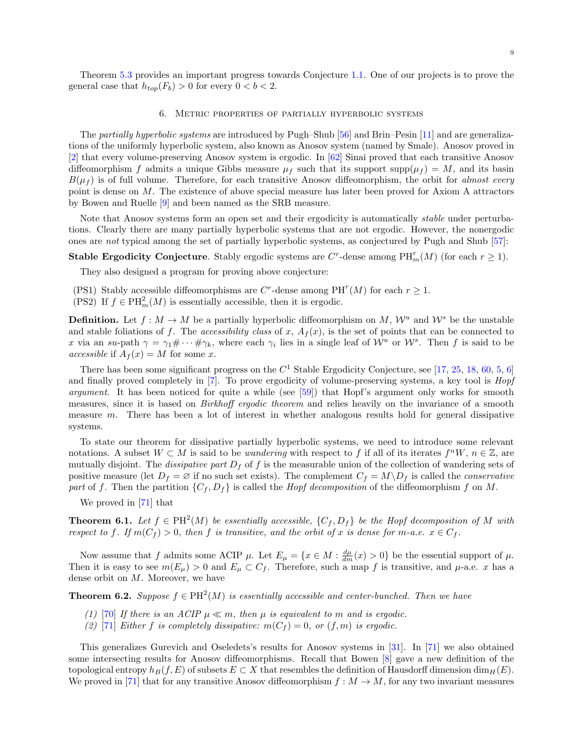Theorem [5.3](#page-7-1) provides an important progress towards Conjecture [1.1.](#page-1-1) One of our projects is to prove the general case that  $h_{top}(F_b) > 0$  for every  $0 < b < 2$ .

#### 6. Metric properties of partially hyperbolic systems

The partially hyperbolic systems are introduced by Pugh–Shub [\[56\]](#page-10-33) and Brin–Pesin [\[11\]](#page-9-25) and are generalizations of the uniformly hyperbolic system, also known as Anosov system (named by Smale). Anosov proved in [\[2\]](#page-9-26) that every volume-preserving Anosov system is ergodic. In [\[62\]](#page-10-34) Sinaˇı proved that each transitive Anosov diffeomorphism f admits a unique Gibbs measure  $\mu_f$  such that its support supp $(\mu_f) = M$ , and its basin  $B(\mu_f)$  is of full volume. Therefore, for each transitive Anosov diffeomorphism, the orbit for almost every point is dense on M. The existence of above special measure has later been proved for Axiom A attractors by Bowen and Ruelle [\[9\]](#page-9-27) and been named as the SRB measure.

Note that Anosov systems form an open set and their ergodicity is automatically *stable* under perturbations. Clearly there are many partially hyperbolic systems that are not ergodic. However, the nonergodic ones are not typical among the set of partially hyperbolic systems, as conjectured by Pugh and Shub [\[57\]](#page-10-35):

## **Stable Ergodicity Conjecture**. Stably ergodic systems are  $C^r$ -dense among  $PH_m^r(M)$  (for each  $r \geq 1$ ).

They also designed a program for proving above conjecture:

- (PS1) Stably accessible diffeomorphisms are C<sup>r</sup>-dense among PH<sup>r</sup>(M) for each  $r \geq 1$ .
- (PS2) If  $f \in PH_m^2(M)$  is essentially accessible, then it is ergodic.

**Definition.** Let  $f : M \to M$  be a partially hyperbolic diffeomorphism on M,  $\mathcal{W}^u$  and  $\mathcal{W}^s$  be the unstable and stable foliations of f. The accessibility class of x,  $A_f(x)$ , is the set of points that can be connected to x via an su-path  $\gamma = \gamma_1 \# \cdots \# \gamma_k$ , where each  $\gamma_i$  lies in a single leaf of  $\mathcal{W}^u$  or  $\mathcal{W}^s$ . Then f is said to be accessible if  $A_f(x) = M$  for some x.

There has been some significant progress on the  $C<sup>1</sup>$  Stable Ergodicity Conjecture, see [\[17,](#page-9-7) [25,](#page-9-28) [18,](#page-9-29) [60,](#page-10-36) [5,](#page-9-30) [6\]](#page-9-31) and finally proved completely in [\[7\]](#page-9-32). To prove ergodicity of volume-preserving systems, a key tool is *Hopf* argument. It has been noticed for quite a while (see [\[59\]](#page-10-37)) that Hopf's argument only works for smooth measures, since it is based on *Birkhoff ergodic theorem* and relies heavily on the invariance of a smooth measure  $m$ . There has been a lot of interest in whether analogous results hold for general dissipative systems.

To state our theorem for dissipative partially hyperbolic systems, we need to introduce some relevant notations. A subset  $W \subset M$  is said to be *wandering* with respect to f if all of its iterates  $f^nW, n \in \mathbb{Z}$ , are mutually disjoint. The *dissipative part*  $D_f$  of f is the measurable union of the collection of wandering sets of positive measure (let  $D_f = \emptyset$  if no such set exists). The complement  $C_f = M \backslash D_f$  is called the *conservative* part of f. Then the partition  $\{C_f, D_f\}$  is called the *Hopf decomposition* of the diffeomorphism f on M.

We proved in [\[71\]](#page-10-11) that

**Theorem 6.1.** Let  $f \in PH^2(M)$  be essentially accessible,  $\{C_f, D_f\}$  be the Hopf decomposition of M with respect to f. If  $m(C_f) > 0$ , then f is transitive, and the orbit of x is dense for m-a.e.  $x \in C_f$ .

Now assume that f admits some ACIP  $\mu$ . Let  $E_{\mu} = \{x \in M : \frac{d\mu}{dm}(x) > 0\}$  be the essential support of  $\mu$ . Then it is easy to see  $m(E_{\mu}) > 0$  and  $E_{\mu} \subset C_f$ . Therefore, such a map f is transitive, and  $\mu$ -a.e. x has a dense orbit on M. Moreover, we have

**Theorem 6.2.** Suppose  $f \in PH^2(M)$  is essentially accessible and center-bunched. Then we have

- (1) [\[70\]](#page-10-10) If there is an ACIP  $\mu \ll m$ , then  $\mu$  is equivalent to m and is ergodic.
- (2) [\[71\]](#page-10-11) Either f is completely dissipative:  $m(C_f) = 0$ , or  $(f, m)$  is ergodic.

This generalizes Gurevich and Oseledets's results for Anosov systems in [\[31\]](#page-9-33). In [\[71\]](#page-10-11) we also obtained some intersecting results for Anosov diffeomorphisms. Recall that Bowen [\[8\]](#page-9-34) gave a new definition of the topological entropy  $h_B(f, E)$  of subsets  $E \subset X$  that resembles the definition of Hausdorff dimension dim $_H(E)$ . We proved in [\[71\]](#page-10-11) that for any transitive Anosov diffeomorphism  $f : M \to M$ , for any two invariant measures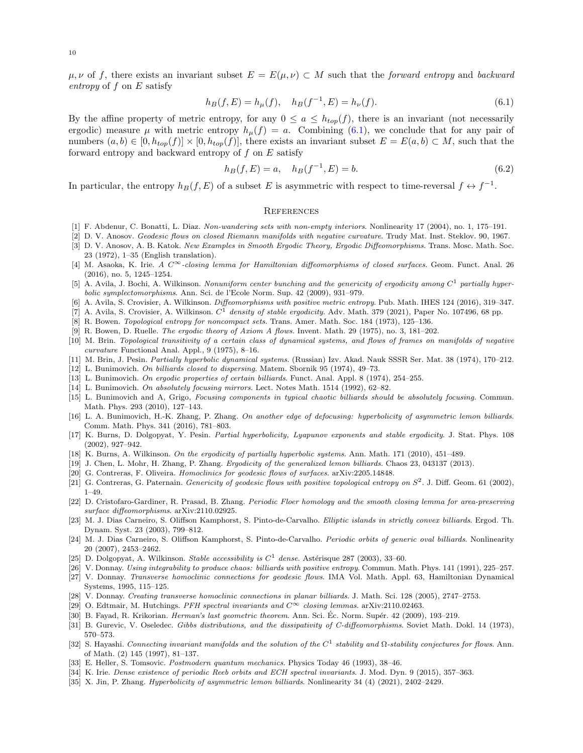$\mu, \nu$  of f, there exists an invariant subset  $E = E(\mu, \nu) \subset M$  such that the forward entropy and backward entropy of f on E satisfy

$$
h_B(f, E) = h_\mu(f), \quad h_B(f^{-1}, E) = h_\nu(f). \tag{6.1}
$$

By the affine property of metric entropy, for any  $0 \le a \le h_{top}(f)$ , there is an invariant (not necessarily ergodic) measure  $\mu$  with metric entropy  $h_{\mu}(f) = a$ . Combining [\(6.1\)](#page-9-35), we conclude that for any pair of numbers  $(a, b) \in [0, h_{top}(f)] \times [0, h_{top}(f)]$ , there exists an invariant subset  $E = E(a, b) \subset M$ , such that the forward entropy and backward entropy of  $f$  on  $E$  satisfy

$$
h_B(f, E) = a, \quad h_B(f^{-1}, E) = b. \tag{6.2}
$$

In particular, the entropy  $h_B(f, E)$  of a subset E is asymmetric with respect to time-reversal  $f \leftrightarrow f^{-1}$ .

#### <span id="page-9-35"></span>**REFERENCES**

- <span id="page-9-6"></span>[1] F. Abdenur, C. Bonatti, L. Diaz. Non-wandering sets with non-empty interiors. Nonlinearity 17 (2004), no. 1, 175–191.
- <span id="page-9-26"></span>[2] D. V. Anosov. Geodesic flows on closed Riemann manifolds with negative curvature. Trudy Mat. Inst. Steklov. 90, 1967.
- <span id="page-9-24"></span>[3] D. V. Anosov, A. B. Katok. New Examples in Smooth Ergodic Theory, Ergodic Diffeomorphisms. Trans. Mosc. Math. Soc. 23 (1972), 1–35 (English translation).
- <span id="page-9-12"></span>[4] M. Asaoka, K. Irie. A  $C^{\infty}$ -closing lemma for Hamiltonian diffeomorphisms of closed surfaces. Geom. Funct. Anal. 26 (2016), no. 5, 1245–1254.
- <span id="page-9-30"></span>[5] A. Avila, J. Bochi, A. Wilkinson. Nonuniform center bunching and the genericity of ergodicity among  $C^1$  partially hyperbolic symplectomorphisms. Ann. Sci. de l'Ecole Norm. Sup. 42 (2009), 931–979.
- <span id="page-9-31"></span>[6] A. Avila, S. Crovisier, A. Wilkinson. Diffeomorphisms with positive metric entropy. Pub. Math. IHES 124 (2016), 319–347.
- <span id="page-9-32"></span>[7] A. Avila, S. Crovisier, A. Wilkinson.  $C^1$  density of stable ergodicity. Adv. Math. 379 (2021), Paper No. 107496, 68 pp.
- <span id="page-9-34"></span>[8] R. Bowen. Topological entropy for noncompact sets. Trans. Amer. Math. Soc. 184 (1973), 125–136.
- <span id="page-9-27"></span>[9] R. Bowen, D. Ruelle. The ergodic theory of Axiom A flows. Invent. Math. 29 (1975), no. 3, 181–202.
- <span id="page-9-5"></span>[10] M. Brin. Topological transitivity of a certain class of dynamical systems, and flows of frames on manifolds of negative curvature Functional Anal. Appl., 9 (1975), 8–16.
- <span id="page-9-25"></span>[11] M. Brin, J. Pesin. Partially hyperbolic dynamical systems. (Russian) Izv. Akad. Nauk SSSR Ser. Mat. 38 (1974), 170–212.
- <span id="page-9-20"></span>[12] L. Bunimovich. On billiards closed to dispersing. Matem. Sbornik 95 (1974), 49–73.
- <span id="page-9-0"></span>[13] L. Bunimovich. On ergodic properties of certain billiards. Funct. Anal. Appl. 8 (1974), 254–255.
- <span id="page-9-22"></span>[14] L. Bunimovich. On absolutely focusing mirrors. Lect. Notes Math. 1514 (1992), 62–82.
- <span id="page-9-23"></span>[15] L. Bunimovich and A, Grigo, Focusing components in typical chaotic billiards should be absolutely focusing. Commun. Math. Phys. 293 (2010), 127–143.
- <span id="page-9-2"></span>[16] L. A. Bunimovich, H.-K. Zhang, P. Zhang. On another edge of defocusing: hyperbolicity of asymmetric lemon billiards. Comm. Math. Phys. 341 (2016), 781–803.
- <span id="page-9-7"></span>[17] K. Burns, D. Dolgopyat, Y. Pesin. Partial hyperbolicity, Lyapunov exponents and stable ergodicity. J. Stat. Phys. 108 (2002), 927–942.
- <span id="page-9-29"></span>[18] K. Burns, A. Wilkinson. On the ergodicity of partially hyperbolic systems. Ann. Math. 171 (2010), 451–489.
- <span id="page-9-1"></span>[19] J. Chen, L. Mohr, H. Zhang, P. Zhang. Ergodicity of the generalized lemon billiards. Chaos 23, 043137 (2013).
- <span id="page-9-18"></span>[20] G. Contreras, F. Oliveira. Homoclinics for geodesic flows of surfaces. arXiv:2205.14848.
- <span id="page-9-17"></span>[21] G. Contreras, G. Paternain. Genericity of geodesic flows with positive topological entropy on  $S^2$ . J. Diff. Geom. 61 (2002), 1–49.
- <span id="page-9-9"></span>[22] D. Cristofaro-Gardiner, R. Prasad, B. Zhang. Periodic Floer homology and the smooth closing lemma for area-preserving surface diffeomorphisms. arXiv:2110.02925.
- <span id="page-9-14"></span>[23] M. J. Dias Carneiro, S. Oliffson Kamphorst, S. Pinto-de-Carvalho. Elliptic islands in strictly convex billiards. Ergod. Th. Dynam. Syst. 23 (2003), 799–812.
- <span id="page-9-15"></span>[24] M. J. Dias Carneiro, S. Oliffson Kamphorst, S. Pinto-de-Carvalho. Periodic orbits of generic oval billiards. Nonlinearity 20 (2007), 2453–2462.
- <span id="page-9-28"></span>[25] D. Dolgopyat, A. Wilkinson. Stable accessibility is  $C<sup>1</sup>$  dense. Astérisque 287 (2003), 33–60.
- <span id="page-9-21"></span>[26] V. Donnay. Using integrability to produce chaos: billiards with positive entropy. Commun. Math. Phys. 141 (1991), 225–257.
- <span id="page-9-16"></span>[27] V. Donnay. Transverse homoclinic connections for geodesic flows. IMA Vol. Math. Appl. 63, Hamiltonian Dynamical Systems, 1995, 115–125.
- <span id="page-9-13"></span>[28] V. Donnay. Creating transverse homoclinic connections in planar billiards. J. Math. Sci. 128 (2005), 2747–2753.
- <span id="page-9-10"></span>[29] O. Edtmair, M. Hutchings. PFH spectral invariants and  $C^{\infty}$  closing lemmas. arXiv:2110.02463.
- <span id="page-9-19"></span>[30] B. Fayad, R. Krikorian. *Herman's last geometric theorem.* Ann. Sci. Éc. Norm. Supér. 42 (2009), 193–219.
- <span id="page-9-33"></span>[31] B. Gurevic, V. Oseledec. Gibbs distributions, and the dissipativity of C-diffeomorphisms. Soviet Math. Dokl. 14 (1973), 570–573.
- <span id="page-9-8"></span>[32] S. Hayashi. Connecting invariant manifolds and the solution of the  $C^1$  stability and  $\Omega$ -stability conjectures for flows. Ann. of Math. (2) 145 (1997), 81–137.
- <span id="page-9-4"></span>[33] E. Heller, S. Tomsovic. Postmodern quantum mechanics. Physics Today 46 (1993), 38–46.
- <span id="page-9-11"></span>[34] K. Irie. Dense existence of periodic Reeb orbits and ECH spectral invariants. J. Mod. Dyn. 9 (2015), 357–363.
- <span id="page-9-3"></span>[35] X. Jin, P. Zhang. Hyperbolicity of asymmetric lemon billiards. Nonlinearity 34 (4) (2021), 2402–2429.